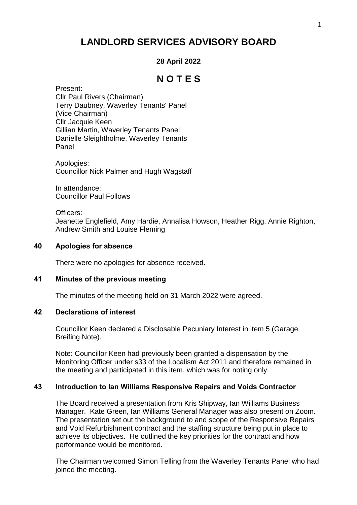# **LANDLORD SERVICES ADVISORY BOARD**

## **28 April 2022**

## **N O T E S**

Present: Cllr Paul Rivers (Chairman) Terry Daubney, Waverley Tenants' Panel (Vice Chairman) Cllr Jacquie Keen Gillian Martin, Waverley Tenants Panel Danielle Sleightholme, Waverley Tenants Panel

Apologies: Councillor Nick Palmer and Hugh Wagstaff

In attendance: Councillor Paul Follows

Officers:

Jeanette Englefield, Amy Hardie, Annalisa Howson, Heather Rigg, Annie Righton, Andrew Smith and Louise Fleming

#### **40 Apologies for absence**

There were no apologies for absence received.

## **41 Minutes of the previous meeting**

The minutes of the meeting held on 31 March 2022 were agreed.

#### **42 Declarations of interest**

Councillor Keen declared a Disclosable Pecuniary Interest in item 5 (Garage Breifing Note).

Note: Councillor Keen had previously been granted a dispensation by the Monitoring Officer under s33 of the Localism Act 2011 and therefore remained in the meeting and participated in this item, which was for noting only.

## **43 Introduction to Ian Williams Responsive Repairs and Voids Contractor**

The Board received a presentation from Kris Shipway, Ian Williams Business Manager. Kate Green, Ian Williams General Manager was also present on Zoom. The presentation set out the background to and scope of the Responsive Repairs and Void Refurbishment contract and the staffing structure being put in place to achieve its objectives. He outlined the key priorities for the contract and how performance would be monitored.

The Chairman welcomed Simon Telling from the Waverley Tenants Panel who had joined the meeting.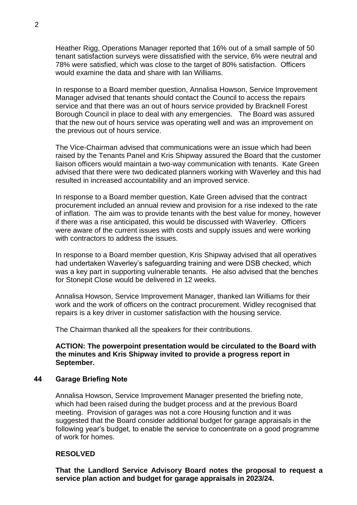Heather Rigg, Operations Manager reported that 16% out of a small sample of 50 tenant satisfaction surveys were dissatisfied with the service, 6% were neutral and 78% were satisfied, which was close to the target of 80% satisfaction. Officers would examine the data and share with Ian Williams.

In response to a Board member question, Annalisa Howson, Service Improvement Manager advised that tenants should contact the Council to access the repairs service and that there was an out of hours service provided by Bracknell Forest Borough Council in place to deal with any emergencies. The Board was assured that the new out of hours service was operating well and was an improvement on the previous out of hours service.

The Vice-Chairman advised that communications were an issue which had been raised by the Tenants Panel and Kris Shipway assured the Board that the customer liaison officers would maintain a two-way communication with tenants. Kate Green advised that there were two dedicated planners working with Waverley and this had resulted in increased accountability and an improved service.

In response to a Board member question, Kate Green advised that the contract procurement included an annual review and provision for a rise indexed to the rate of inflation. The aim was to provide tenants with the best value for money, however if there was a rise anticipated, this would be discussed with Waverley. Officers were aware of the current issues with costs and supply issues and were working with contractors to address the issues.

In response to a Board member question, Kris Shipway advised that all operatives had undertaken Waverley's safeguarding training and were DSB checked, which was a key part in supporting vulnerable tenants. He also advised that the benches for Stonepit Close would be delivered in 12 weeks.

Annalisa Howson, Service Improvement Manager, thanked Ian Williams for their work and the work of officers on the contract procurement. Widley recognised that repairs is a key driver in customer satisfaction with the housing service.

The Chairman thanked all the speakers for their contributions.

**ACTION: The powerpoint presentation would be circulated to the Board with the minutes and Kris Shipway invited to provide a progress report in September.**

#### **44 Garage Briefing Note**

Annalisa Howson, Service Improvement Manager presented the briefing note, which had been raised during the budget process and at the previous Board meeting. Provision of garages was not a core Housing function and it was suggested that the Board consider additional budget for garage appraisals in the following year's budget, to enable the service to concentrate on a good programme of work for homes.

## **RESOLVED**

**That the Landlord Service Advisory Board notes the proposal to request a service plan action and budget for garage appraisals in 2023/24.**